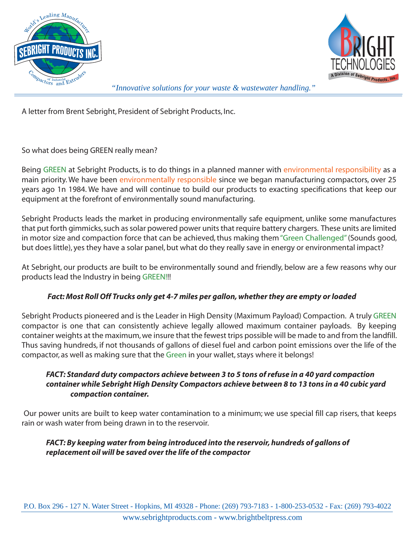



*"Innovative solutions for your waste & wastewater handling."*

A letter from Brent Sebright, President of Sebright Products, Inc.

So what does being GREEN really mean?

Being GREEN at Sebright Products, is to do things in a planned manner with environmental responsibility as a main priority. We have been environmentally responsible since we began manufacturing compactors, over 25 years ago 1n 1984. We have and will continue to build our products to exacting specifications that keep our equipment at the forefront of environmentally sound manufacturing.

Sebright Products leads the market in producing environmentally safe equipment, unlike some manufactures that put forth gimmicks, such as solar powered power units that require battery chargers. These units are limited in motor size and compaction force that can be achieved, thus making them "Green Challenged" (Sounds good, but does little), yes they have a solar panel, but what do they really save in energy or environmental impact?

At Sebright, our products are built to be environmentally sound and friendly, below are a few reasons why our products lead the Industry in being GREEN!!!

#### *Fact: Most Roll Off Trucks only get 4-7 miles per gallon, whether they are empty or loaded*

Sebright Products pioneered and is the Leader in High Density (Maximum Payload) Compaction. A truly GREEN compactor is one that can consistently achieve legally allowed maximum container payloads. By keeping container weights at the maximum, we insure that the fewest trips possible will be made to and from the landfill. Thus saving hundreds, if not thousands of gallons of diesel fuel and carbon point emissions over the life of the compactor, as well as making sure that the Green in your wallet, stays where it belongs!

## *FACT: Standard duty compactors achieve between 3 to 5 tons of refuse in a 40 yard compaction container while Sebright High Density Compactors achieve between 8 to 13 tons in a 40 cubic yard compaction container.*

 Our power units are built to keep water contamination to a minimum; we use special fill cap risers, that keeps rain or wash water from being drawn in to the reservoir.

# *FACT: By keeping water from being introduced into the reservoir, hundreds of gallons of replacement oil will be saved over the life of the compactor*